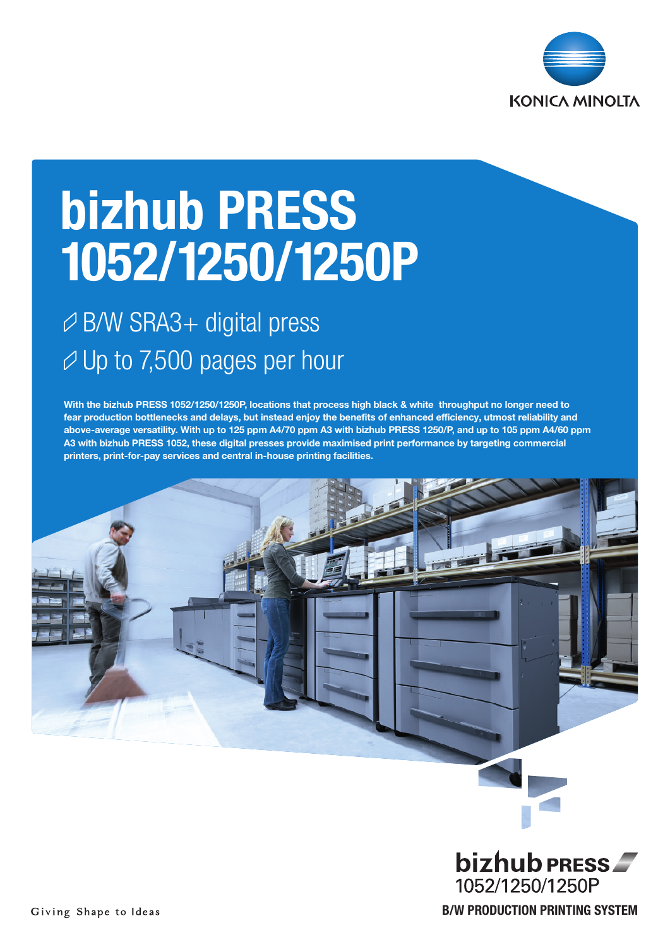

# bizhub PRESS 1052/1250/1250P

## B/W SRA3+ digital press  $\varnothing$  Up to 7,500 pages per hour

With the bizhub PRESS 1052/1250/1250P, locations that process high black & white throughput no longer need to fear production bottlenecks and delays, but instead enjoy the benefits of enhanced efficiency, utmost reliability and above-average versatility. With up to 125 ppm A4/70 ppm A3 with bizhub PRESS 1250/P, and up to 105 ppm A4/60 ppm A3 with bizhub PRESS 1052, these digital presses provide maximised print performance by targeting commercial printers, print-for-pay services and central in-house printing facilities.



B/W PRODUCTION PRINTING SYSTEM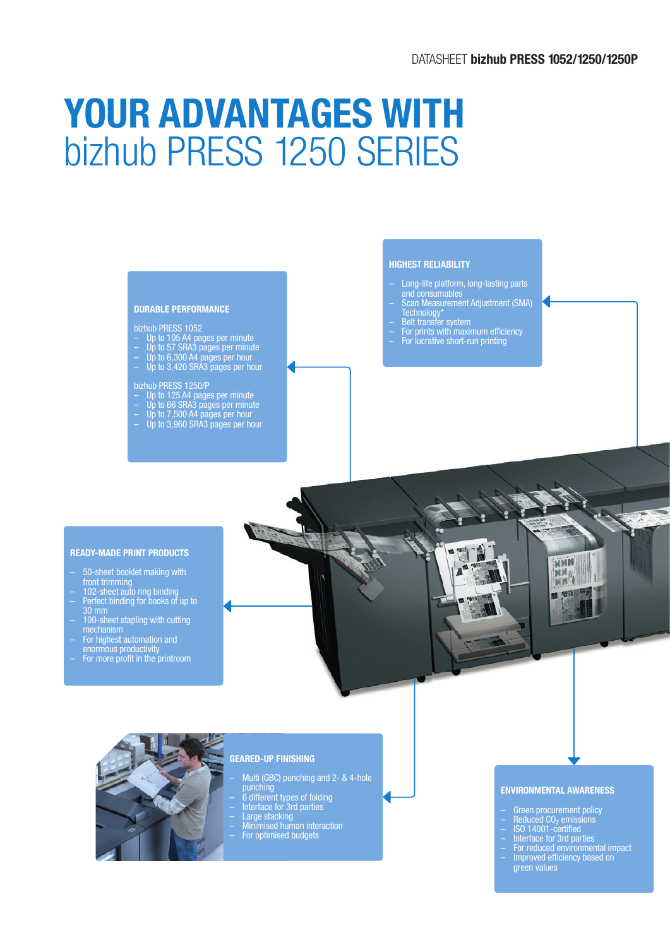### DATASHEET bizhub PRESS 1052/1250/1250P

# YOUR ADVANTAGES WITH bizhub PRESS 1250 SERIES

#### DURABLE PERFORMANCE

#### bizhub PRESS 1052

- Up to 105 A4 pages per minute
- Up to 57 SRA3 pages per minute
- Up to 6,300 A4 pages per hour
- Up to 3,420 SRA3 pages per hour

#### bizhub PRESS 1250/P

- Up to 125 A4 pages per minute Up to 66 SRA3 pages per minute
- 
- Up to 7,500 A4 pages per hour
- Up to 3,960 SRA3 pages per hour

### HIGHEST RELIABILITY

- Long-life platform, long-lasting parts and consumables
- Scan Measurement Adjustment (SMA) Technology\*
- Belt transfer system
- For prints with maximum efficiency
- For lucrative short-run printing

### READY-MADE PRINT PRODUCTS

- 50-sheet booklet making with
- 
- front trimming<br>102-sheet auto ring binding<br>Perfect binding for books of up to<br>30 mm 30 mm – 100-sheet stapling with cutting
- mechanism For highest automation and
- enormous productivity
- For more profit in the printroom





### GEARED-UP FINISHING

- Multi (GBC) punching and 2- & 4-hole punching
- 6 different types of folding
- Interface for 3rd parties<br>– Large stacking<br>– Minimised human interaction<br>– For optimised budgets
- 
- 
- 

#### ENVIRONMENTAL AWARENESS

- Green procurement policy
- Reduced CO<sub>2</sub> emissions
- ISO 14001-certified
- Interface for 3rd parties
- For reduced environmental impact – Improved efficiency based on green values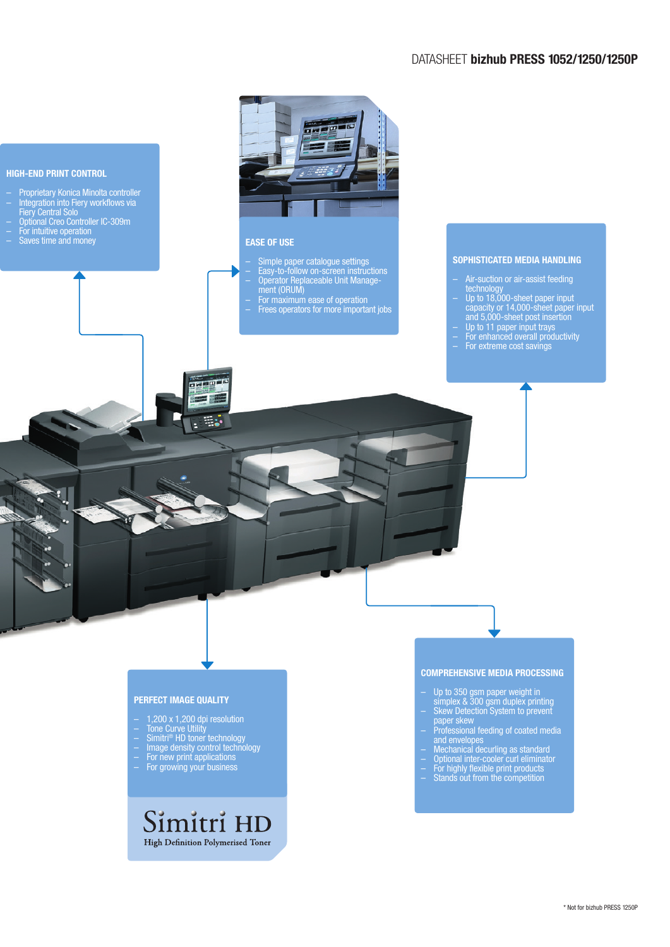### DATASHEET bizhub PRESS 1052/1250/1250P



### PERFECT IMAGE QUALITY

- 1,200 x 1,200 dpi resolution
- Tone Curve Utility
- Simitri® HD toner technology – Image density control technology
- For new print applications
- For growing your business

### Simitri HD High Definition Polymerised Toner

COMPREHENSIVE MEDIA PROCESSING

- Up to 350 gsm paper weight in simplex & 300 gsm duplex printing
- Skew Detection System to prevent paper skew
- Professional feeding of coated media and envelopes
- Mechanical decurling as standard
- Optional inter-cooler curl eliminator – For highly flexible print products
- Stands out from the competition